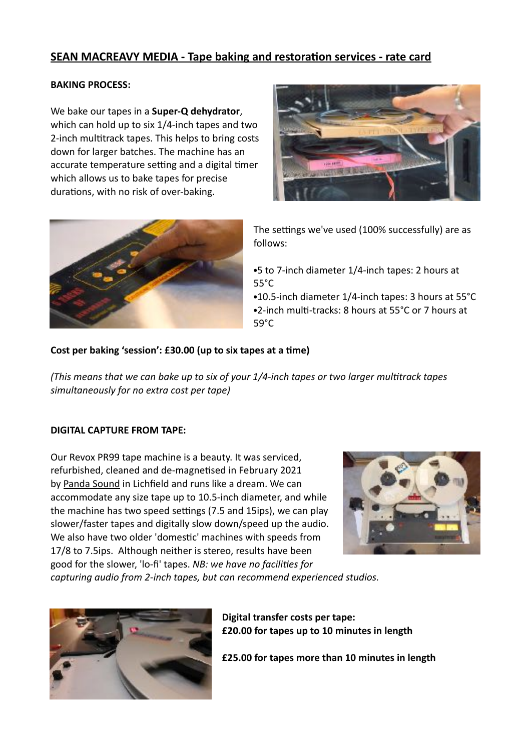# **SEAN MACREAVY MEDIA - Tape baking and restoration services - rate card**

## **BAKING PROCESS:**

We bake our tapes in a **Super-Q dehydrator**, which can hold up to six 1/4-inch tapes and two 2-inch multitrack tapes. This helps to bring costs down for larger batches. The machine has an accurate temperature setting and a digital timer which allows us to bake tapes for precise durations, with no risk of over-baking.





The settings we've used (100% successfully) are as follows:

**•**5 to 7-inch diameter 1/4-inch tapes: 2 hours at 55°C

**•**10.5-inch diameter 1/4-inch tapes: 3 hours at 55°C •2-inch multi-tracks: 8 hours at 55°C or 7 hours at 59°C

## Cost per baking 'session': £30.00 (up to six tapes at a time)

*(This means that we can bake up to six of your 1/4-inch tapes or two larger multitrack tapes simultaneously for no extra cost per tape)* 

#### **DIGITAL CAPTURE FROM TAPE:**

Our Revox PR99 tape machine is a beauty. It was serviced, refurbished, cleaned and de-magnetised in February 2021 by [Panda Sound](http://pandasound.co.uk/) in Lichfield and runs like a dream. We can accommodate any size tape up to 10.5-inch diameter, and while the machine has two speed settings (7.5 and 15ips), we can play slower/faster tapes and digitally slow down/speed up the audio. We also have two older 'domestic' machines with speeds from 17/8 to 7.5ips. Although neither is stereo, results have been good for the slower, 'lo-fi' tapes. *NB: we have no facilities for* 



*capturing audio from 2-inch tapes, but can recommend experienced studios.* 



**Digital transfer costs per tape: £20.00 for tapes up to 10 minutes in length** 

**£25.00 for tapes more than 10 minutes in length**